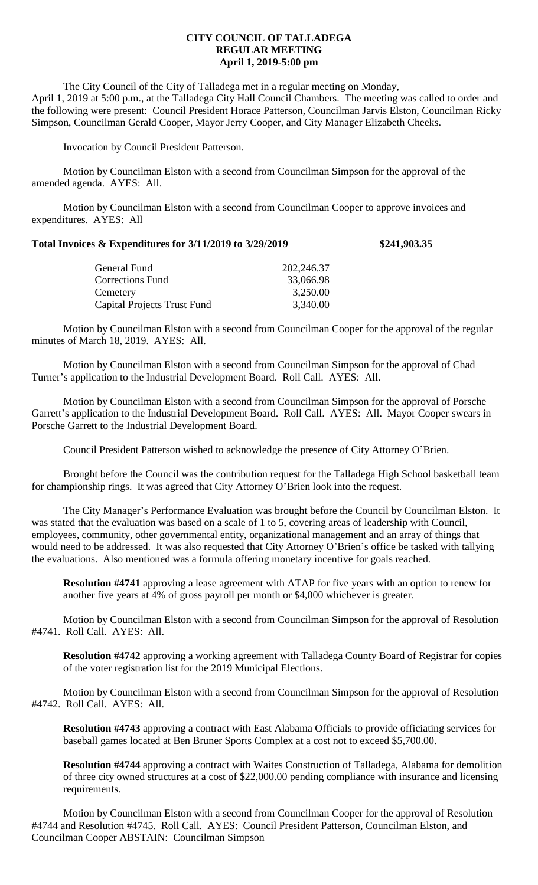## **CITY COUNCIL OF TALLADEGA REGULAR MEETING April 1, 2019-5:00 pm**

The City Council of the City of Talladega met in a regular meeting on Monday, April 1, 2019 at 5:00 p.m., at the Talladega City Hall Council Chambers. The meeting was called to order and the following were present: Council President Horace Patterson, Councilman Jarvis Elston, Councilman Ricky Simpson, Councilman Gerald Cooper, Mayor Jerry Cooper, and City Manager Elizabeth Cheeks.

Invocation by Council President Patterson.

Motion by Councilman Elston with a second from Councilman Simpson for the approval of the amended agenda. AYES: All.

Motion by Councilman Elston with a second from Councilman Cooper to approve invoices and expenditures. AYES: All

## **Total Invoices & Expenditures for 3/11/2019 to 3/29/2019 \$241,903.35**

| General Fund                       | 202,246.37 |
|------------------------------------|------------|
| Corrections Fund                   | 33,066.98  |
| Cemetery                           | 3,250.00   |
| <b>Capital Projects Trust Fund</b> | 3,340.00   |
|                                    |            |

Motion by Councilman Elston with a second from Councilman Cooper for the approval of the regular minutes of March 18, 2019. AYES: All.

Motion by Councilman Elston with a second from Councilman Simpson for the approval of Chad Turner's application to the Industrial Development Board. Roll Call. AYES: All.

Motion by Councilman Elston with a second from Councilman Simpson for the approval of Porsche Garrett's application to the Industrial Development Board. Roll Call. AYES: All. Mayor Cooper swears in Porsche Garrett to the Industrial Development Board.

Council President Patterson wished to acknowledge the presence of City Attorney O'Brien.

Brought before the Council was the contribution request for the Talladega High School basketball team for championship rings. It was agreed that City Attorney O'Brien look into the request.

The City Manager's Performance Evaluation was brought before the Council by Councilman Elston. It was stated that the evaluation was based on a scale of 1 to 5, covering areas of leadership with Council, employees, community, other governmental entity, organizational management and an array of things that would need to be addressed. It was also requested that City Attorney O'Brien's office be tasked with tallying the evaluations. Also mentioned was a formula offering monetary incentive for goals reached.

**Resolution #4741** approving a lease agreement with ATAP for five years with an option to renew for another five years at 4% of gross payroll per month or \$4,000 whichever is greater.

Motion by Councilman Elston with a second from Councilman Simpson for the approval of Resolution #4741. Roll Call. AYES: All.

**Resolution #4742** approving a working agreement with Talladega County Board of Registrar for copies of the voter registration list for the 2019 Municipal Elections.

Motion by Councilman Elston with a second from Councilman Simpson for the approval of Resolution #4742. Roll Call. AYES: All.

**Resolution #4743** approving a contract with East Alabama Officials to provide officiating services for baseball games located at Ben Bruner Sports Complex at a cost not to exceed \$5,700.00.

**Resolution #4744** approving a contract with Waites Construction of Talladega, Alabama for demolition of three city owned structures at a cost of \$22,000.00 pending compliance with insurance and licensing requirements.

Motion by Councilman Elston with a second from Councilman Cooper for the approval of Resolution #4744 and Resolution #4745. Roll Call. AYES: Council President Patterson, Councilman Elston, and Councilman Cooper ABSTAIN: Councilman Simpson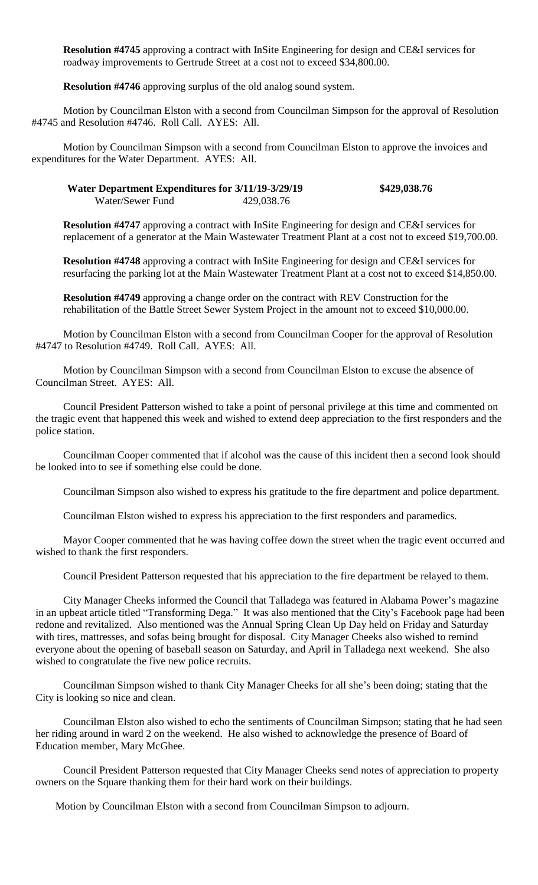**Resolution #4745** approving a contract with InSite Engineering for design and CE&I services for roadway improvements to Gertrude Street at a cost not to exceed \$34,800.00.

**Resolution #4746** approving surplus of the old analog sound system.

Motion by Councilman Elston with a second from Councilman Simpson for the approval of Resolution #4745 and Resolution #4746. Roll Call. AYES: All.

Motion by Councilman Simpson with a second from Councilman Elston to approve the invoices and expenditures for the Water Department. AYES: All.

## **Water Department Expenditures for 3/11/19-3/29/19 \$429,038.76** Water/Sewer Fund 429,038.76

**Resolution #4747** approving a contract with InSite Engineering for design and CE&I services for replacement of a generator at the Main Wastewater Treatment Plant at a cost not to exceed \$19,700.00.

**Resolution #4748** approving a contract with InSite Engineering for design and CE&I services for resurfacing the parking lot at the Main Wastewater Treatment Plant at a cost not to exceed \$14,850.00.

**Resolution #4749** approving a change order on the contract with REV Construction for the rehabilitation of the Battle Street Sewer System Project in the amount not to exceed \$10,000.00.

Motion by Councilman Elston with a second from Councilman Cooper for the approval of Resolution #4747 to Resolution #4749. Roll Call. AYES: All.

Motion by Councilman Simpson with a second from Councilman Elston to excuse the absence of Councilman Street. AYES: All.

Council President Patterson wished to take a point of personal privilege at this time and commented on the tragic event that happened this week and wished to extend deep appreciation to the first responders and the police station.

Councilman Cooper commented that if alcohol was the cause of this incident then a second look should be looked into to see if something else could be done.

Councilman Simpson also wished to express his gratitude to the fire department and police department.

Councilman Elston wished to express his appreciation to the first responders and paramedics.

Mayor Cooper commented that he was having coffee down the street when the tragic event occurred and wished to thank the first responders.

Council President Patterson requested that his appreciation to the fire department be relayed to them.

City Manager Cheeks informed the Council that Talladega was featured in Alabama Power's magazine in an upbeat article titled "Transforming Dega." It was also mentioned that the City's Facebook page had been redone and revitalized. Also mentioned was the Annual Spring Clean Up Day held on Friday and Saturday with tires, mattresses, and sofas being brought for disposal. City Manager Cheeks also wished to remind everyone about the opening of baseball season on Saturday, and April in Talladega next weekend. She also wished to congratulate the five new police recruits.

Councilman Simpson wished to thank City Manager Cheeks for all she's been doing; stating that the City is looking so nice and clean.

Councilman Elston also wished to echo the sentiments of Councilman Simpson; stating that he had seen her riding around in ward 2 on the weekend. He also wished to acknowledge the presence of Board of Education member, Mary McGhee.

Council President Patterson requested that City Manager Cheeks send notes of appreciation to property owners on the Square thanking them for their hard work on their buildings.

Motion by Councilman Elston with a second from Councilman Simpson to adjourn.